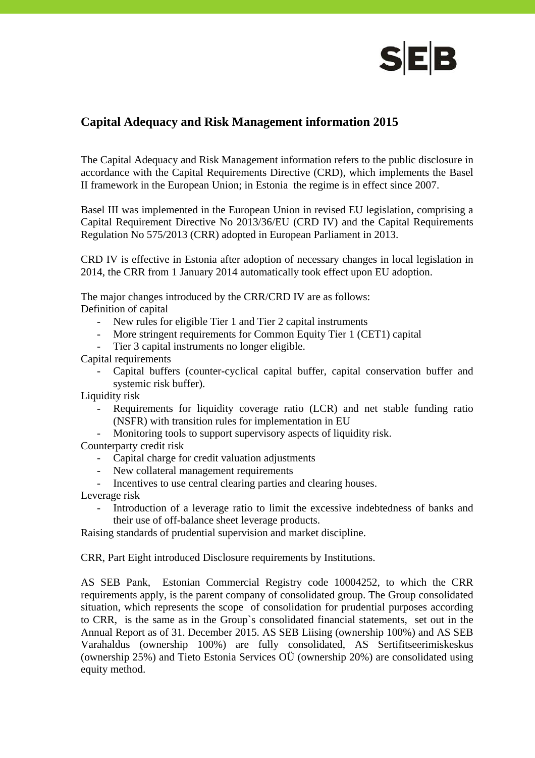

# **Capital Adequacy and Risk Management information 2015**

The Capital Adequacy and Risk Management information refers to the public disclosure in accordance with the Capital Requirements Directive (CRD), which implements the Basel II framework in the European Union; in Estonia the regime is in effect since 2007.

Basel III was implemented in the European Union in revised EU legislation, comprising a Capital Requirement Directive No 2013/36/EU (CRD IV) and the Capital Requirements Regulation No 575/2013 (CRR) adopted in European Parliament in 2013.

CRD IV is effective in Estonia after adoption of necessary changes in local legislation in 2014, the CRR from 1 January 2014 automatically took effect upon EU adoption.

The major changes introduced by the CRR/CRD IV are as follows: Definition of capital

- New rules for eligible Tier 1 and Tier 2 capital instruments
- More stringent requirements for Common Equity Tier 1 (CET1) capital
- Tier 3 capital instruments no longer eligible.

Capital requirements

- Capital buffers (counter-cyclical capital buffer, capital conservation buffer and systemic risk buffer).

Liquidity risk

- Requirements for liquidity coverage ratio (LCR) and net stable funding ratio (NSFR) with transition rules for implementation in EU
- Monitoring tools to support supervisory aspects of liquidity risk.

Counterparty credit risk

- Capital charge for credit valuation adjustments
- New collateral management requirements
- Incentives to use central clearing parties and clearing houses.

Leverage risk

- Introduction of a leverage ratio to limit the excessive indebtedness of banks and their use of off-balance sheet leverage products.

Raising standards of prudential supervision and market discipline.

CRR, Part Eight introduced Disclosure requirements by Institutions.

AS SEB Pank, Estonian Commercial Registry code 10004252, to which the CRR requirements apply, is the parent company of consolidated group. The Group consolidated situation, which represents the scope of consolidation for prudential purposes according to CRR, is the same as in the Group`s consolidated financial statements, set out in the Annual Report as of 31. December 2015. AS SEB Liising (ownership 100%) and AS SEB Varahaldus (ownership 100%) are fully consolidated, AS Sertifitseerimiskeskus (ownership 25%) and Tieto Estonia Services OÜ (ownership 20%) are consolidated using equity method.